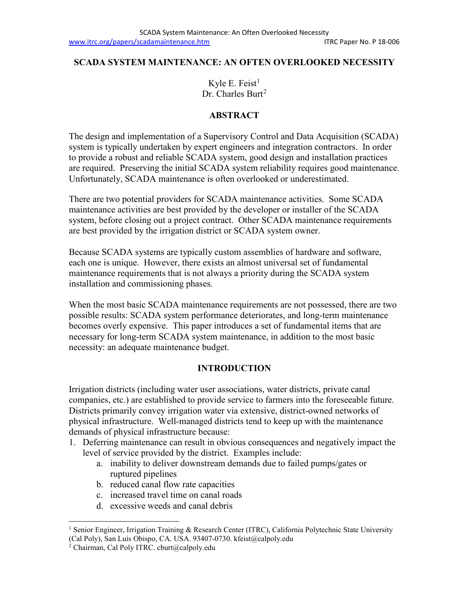#### **SCADA SYSTEM MAINTENANCE: AN OFTEN OVERLOOKED NECESSITY**

Kyle E. Feist $<sup>1</sup>$  $<sup>1</sup>$  $<sup>1</sup>$ </sup> Dr. Charles Burt<sup>[2](#page-0-1)</sup>

#### **ABSTRACT**

The design and implementation of a Supervisory Control and Data Acquisition (SCADA) system is typically undertaken by expert engineers and integration contractors. In order to provide a robust and reliable SCADA system, good design and installation practices are required. Preserving the initial SCADA system reliability requires good maintenance. Unfortunately, SCADA maintenance is often overlooked or underestimated.

There are two potential providers for SCADA maintenance activities. Some SCADA maintenance activities are best provided by the developer or installer of the SCADA system, before closing out a project contract. Other SCADA maintenance requirements are best provided by the irrigation district or SCADA system owner.

Because SCADA systems are typically custom assemblies of hardware and software, each one is unique. However, there exists an almost universal set of fundamental maintenance requirements that is not always a priority during the SCADA system installation and commissioning phases.

When the most basic SCADA maintenance requirements are not possessed, there are two possible results: SCADA system performance deteriorates, and long-term maintenance becomes overly expensive. This paper introduces a set of fundamental items that are necessary for long-term SCADA system maintenance, in addition to the most basic necessity: an adequate maintenance budget.

#### **INTRODUCTION**

Irrigation districts (including water user associations, water districts, private canal companies, etc.) are established to provide service to farmers into the foreseeable future. Districts primarily convey irrigation water via extensive, district-owned networks of physical infrastructure. Well-managed districts tend to keep up with the maintenance demands of physical infrastructure because:

- 1. Deferring maintenance can result in obvious consequences and negatively impact the level of service provided by the district. Examples include:
	- a. inability to deliver downstream demands due to failed pumps/gates or ruptured pipelines
	- b. reduced canal flow rate capacities
	- c. increased travel time on canal roads
	- d. excessive weeds and canal debris

<span id="page-0-0"></span><sup>&</sup>lt;sup>1</sup> Senior Engineer, Irrigation Training & Research Center (ITRC), California Polytechnic State University (Cal Poly), San Luis Obispo, CA. USA. 93407-0730. kfeist@calpoly.edu

<span id="page-0-1"></span> $^{2}$  Chairman, Cal Poly ITRC. cburt@calpoly.edu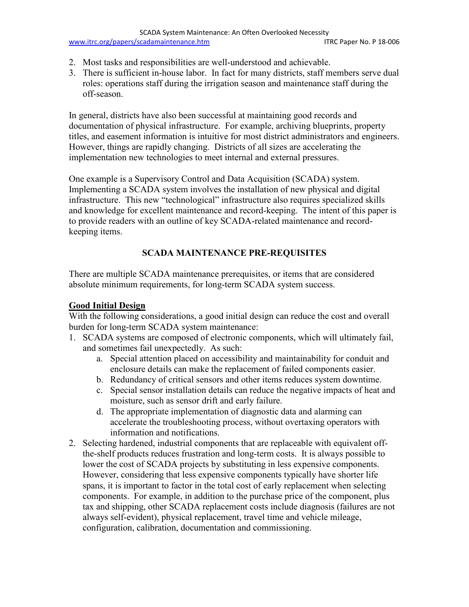- 2. Most tasks and responsibilities are well-understood and achievable.
- 3. There is sufficient in-house labor. In fact for many districts, staff members serve dual roles: operations staff during the irrigation season and maintenance staff during the off-season.

In general, districts have also been successful at maintaining good records and documentation of physical infrastructure. For example, archiving blueprints, property titles, and easement information is intuitive for most district administrators and engineers. However, things are rapidly changing. Districts of all sizes are accelerating the implementation new technologies to meet internal and external pressures.

One example is a Supervisory Control and Data Acquisition (SCADA) system. Implementing a SCADA system involves the installation of new physical and digital infrastructure. This new "technological" infrastructure also requires specialized skills and knowledge for excellent maintenance and record-keeping. The intent of this paper is to provide readers with an outline of key SCADA-related maintenance and recordkeeping items.

# **SCADA MAINTENANCE PRE-REQUISITES**

There are multiple SCADA maintenance prerequisites, or items that are considered absolute minimum requirements, for long-term SCADA system success.

# **Good Initial Design**

With the following considerations, a good initial design can reduce the cost and overall burden for long-term SCADA system maintenance:

- 1. SCADA systems are composed of electronic components, which will ultimately fail, and sometimes fail unexpectedly. As such:
	- a. Special attention placed on accessibility and maintainability for conduit and enclosure details can make the replacement of failed components easier.
	- b. Redundancy of critical sensors and other items reduces system downtime.
	- c. Special sensor installation details can reduce the negative impacts of heat and moisture, such as sensor drift and early failure.
	- d. The appropriate implementation of diagnostic data and alarming can accelerate the troubleshooting process, without overtaxing operators with information and notifications.
- 2. Selecting hardened, industrial components that are replaceable with equivalent offthe-shelf products reduces frustration and long-term costs. It is always possible to lower the cost of SCADA projects by substituting in less expensive components. However, considering that less expensive components typically have shorter life spans, it is important to factor in the total cost of early replacement when selecting components. For example, in addition to the purchase price of the component, plus tax and shipping, other SCADA replacement costs include diagnosis (failures are not always self-evident), physical replacement, travel time and vehicle mileage, configuration, calibration, documentation and commissioning.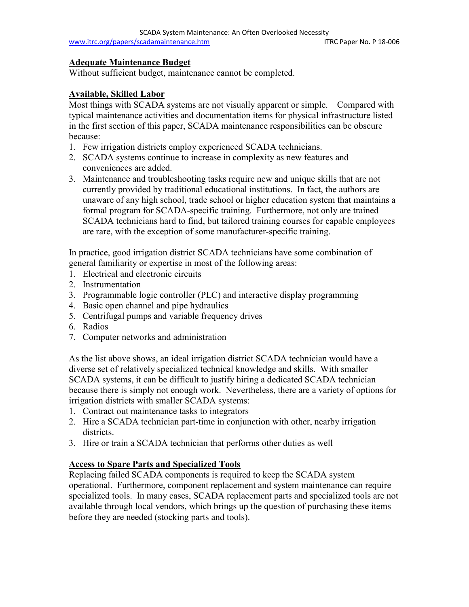#### **Adequate Maintenance Budget**

Without sufficient budget, maintenance cannot be completed.

## **Available, Skilled Labor**

Most things with SCADA systems are not visually apparent or simple. Compared with typical maintenance activities and documentation items for physical infrastructure listed in the first section of this paper, SCADA maintenance responsibilities can be obscure because:

- 1. Few irrigation districts employ experienced SCADA technicians.
- 2. SCADA systems continue to increase in complexity as new features and conveniences are added.
- 3. Maintenance and troubleshooting tasks require new and unique skills that are not currently provided by traditional educational institutions. In fact, the authors are unaware of any high school, trade school or higher education system that maintains a formal program for SCADA-specific training. Furthermore, not only are trained SCADA technicians hard to find, but tailored training courses for capable employees are rare, with the exception of some manufacturer-specific training.

In practice, good irrigation district SCADA technicians have some combination of general familiarity or expertise in most of the following areas:

- 1. Electrical and electronic circuits
- 2. Instrumentation
- 3. Programmable logic controller (PLC) and interactive display programming
- 4. Basic open channel and pipe hydraulics
- 5. Centrifugal pumps and variable frequency drives
- 6. Radios
- 7. Computer networks and administration

As the list above shows, an ideal irrigation district SCADA technician would have a diverse set of relatively specialized technical knowledge and skills. With smaller SCADA systems, it can be difficult to justify hiring a dedicated SCADA technician because there is simply not enough work. Nevertheless, there are a variety of options for irrigation districts with smaller SCADA systems:

- 1. Contract out maintenance tasks to integrators
- 2. Hire a SCADA technician part-time in conjunction with other, nearby irrigation districts.
- 3. Hire or train a SCADA technician that performs other duties as well

## **Access to Spare Parts and Specialized Tools**

Replacing failed SCADA components is required to keep the SCADA system operational. Furthermore, component replacement and system maintenance can require specialized tools. In many cases, SCADA replacement parts and specialized tools are not available through local vendors, which brings up the question of purchasing these items before they are needed (stocking parts and tools).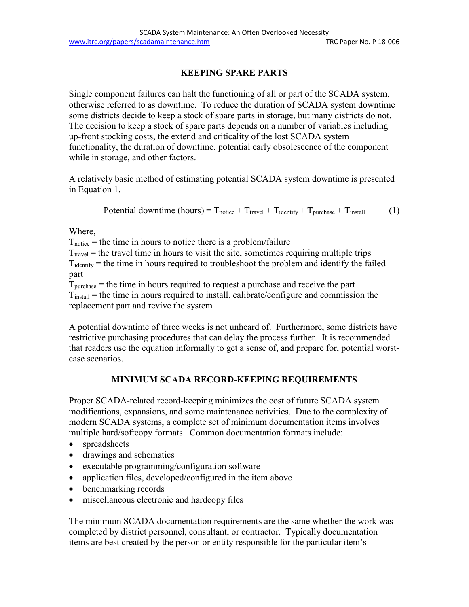## **KEEPING SPARE PARTS**

Single component failures can halt the functioning of all or part of the SCADA system, otherwise referred to as downtime. To reduce the duration of SCADA system downtime some districts decide to keep a stock of spare parts in storage, but many districts do not. The decision to keep a stock of spare parts depends on a number of variables including up-front stocking costs, the extend and criticality of the lost SCADA system functionality, the duration of downtime, potential early obsolescence of the component while in storage, and other factors.

A relatively basic method of estimating potential SCADA system downtime is presented in Equation 1.

Potential downtime  $(hours) = T_{\text{notice}} + T_{\text{travel}} + T_{\text{identity}} + T_{\text{purchase}} + T_{\text{install}}$  (1)

Where,

 $T<sub>notice</sub>$  = the time in hours to notice there is a problem/failure

 $T_{\text{travel}}$  = the travel time in hours to visit the site, sometimes requiring multiple trips  $T_{identity}$  = the time in hours required to troubleshoot the problem and identify the failed part

 $T_{\text{purchase}}$  = the time in hours required to request a purchase and receive the part  $T<sub>install</sub>$  = the time in hours required to install, calibrate/configure and commission the replacement part and revive the system

A potential downtime of three weeks is not unheard of. Furthermore, some districts have restrictive purchasing procedures that can delay the process further. It is recommended that readers use the equation informally to get a sense of, and prepare for, potential worstcase scenarios.

## **MINIMUM SCADA RECORD-KEEPING REQUIREMENTS**

Proper SCADA-related record-keeping minimizes the cost of future SCADA system modifications, expansions, and some maintenance activities. Due to the complexity of modern SCADA systems, a complete set of minimum documentation items involves multiple hard/softcopy formats. Common documentation formats include:

- spreadsheets
- drawings and schematics
- executable programming/configuration software
- application files, developed/configured in the item above
- benchmarking records
- miscellaneous electronic and hardcopy files

The minimum SCADA documentation requirements are the same whether the work was completed by district personnel, consultant, or contractor. Typically documentation items are best created by the person or entity responsible for the particular item's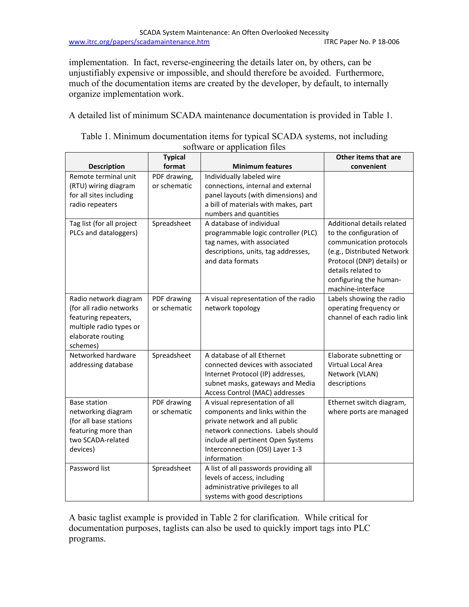implementation. In fact, reverse-engineering the details later on, by others, can be unjustifiably expensive or impossible, and should therefore be avoided. Furthermore, much of the documentation items are created by the developer, by default, to internally organize implementation work.

A detailed list of minimum SCADA maintenance documentation is provided in Table 1.

|                                                                                                                                      | <b>Typical</b>               |                                                                                                                                                                                                                                   | Other items that are                                                                                                                                                                                              |  |  |
|--------------------------------------------------------------------------------------------------------------------------------------|------------------------------|-----------------------------------------------------------------------------------------------------------------------------------------------------------------------------------------------------------------------------------|-------------------------------------------------------------------------------------------------------------------------------------------------------------------------------------------------------------------|--|--|
| <b>Description</b>                                                                                                                   | format                       | <b>Minimum features</b>                                                                                                                                                                                                           | convenient                                                                                                                                                                                                        |  |  |
| Remote terminal unit<br>(RTU) wiring diagram<br>for all sites including<br>radio repeaters                                           | PDF drawing,<br>or schematic | Individually labeled wire<br>connections, internal and external<br>panel layouts (with dimensions) and<br>a bill of materials with makes, part<br>numbers and quantities                                                          |                                                                                                                                                                                                                   |  |  |
| Tag list (for all project<br>PLCs and dataloggers)                                                                                   | Spreadsheet                  | A database of individual<br>programmable logic controller (PLC)<br>tag names, with associated<br>descriptions, units, tag addresses,<br>and data formats                                                                          | Additional details related<br>to the configuration of<br>communication protocols<br>(e.g., Distributed Network<br>Protocol (DNP) details) or<br>details related to<br>configuring the human-<br>machine-interface |  |  |
| Radio network diagram<br>(for all radio networks<br>featuring repeaters,<br>multiple radio types or<br>elaborate routing<br>schemes) | PDF drawing<br>or schematic  | A visual representation of the radio<br>network topology                                                                                                                                                                          | Labels showing the radio<br>operating frequency or<br>channel of each radio link                                                                                                                                  |  |  |
| Networked hardware<br>addressing database                                                                                            | Spreadsheet                  | A database of all Ethernet<br>connected devices with associated<br>Internet Protocol (IP) addresses,<br>subnet masks, gateways and Media<br>Access Control (MAC) addresses                                                        | Elaborate subnetting or<br>Virtual Local Area<br>Network (VLAN)<br>descriptions                                                                                                                                   |  |  |
| <b>Base station</b><br>networking diagram<br>(for all base stations<br>featuring more than<br>two SCADA-related<br>devices)          | PDF drawing<br>or schematic  | A visual representation of all<br>components and links within the<br>private network and all public<br>network connections. Labels should<br>include all pertinent Open Systems<br>Interconnection (OSI) Layer 1-3<br>information | Ethernet switch diagram,<br>where ports are managed                                                                                                                                                               |  |  |
| Password list                                                                                                                        | Spreadsheet                  | A list of all passwords providing all<br>levels of access, including<br>administrative privileges to all<br>systems with good descriptions                                                                                        |                                                                                                                                                                                                                   |  |  |

| Table 1. Minimum documentation items for typical SCADA systems, not including |  |
|-------------------------------------------------------------------------------|--|
| software or application files                                                 |  |

A basic taglist example is provided in Table 2 for clarification. While critical for documentation purposes, taglists can also be used to quickly import tags into PLC programs.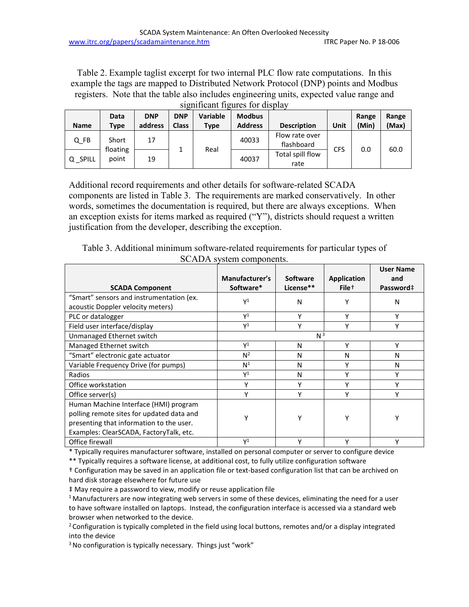Table 2. Example taglist excerpt for two internal PLC flow rate computations. In this example the tags are mapped to Distributed Network Protocol (DNP) points and Modbus registers. Note that the table also includes engineering units, expected value range and significant figures for display

| <b>Name</b>  | <b>Data</b><br>Type | <b>DNP</b><br>address | <b>DNP</b><br><b>Class</b> | <b>Variable</b><br>Type | <b>Modbus</b><br><b>Address</b> | <b>Description</b>           | Unit       | Range<br>(Min) | Range<br>(Max) |
|--------------|---------------------|-----------------------|----------------------------|-------------------------|---------------------------------|------------------------------|------------|----------------|----------------|
| Q FB         | Short               | 17                    |                            | Real                    | 40033                           | Flow rate over<br>flashboard | <b>CFS</b> | 0.0            | 60.0           |
| <b>SPILL</b> | floating<br>point   | 19                    |                            |                         | 40037                           | Total spill flow<br>rate     |            |                |                |

Additional record requirements and other details for software-related SCADA components are listed in Table 3. The requirements are marked conservatively. In other words, sometimes the documentation is required, but there are always exceptions. When an exception exists for items marked as required ("Y"), districts should request a written justification from the developer, describing the exception.

| <b>SCADA Component</b>                    | $\frac{1}{2}$<br>Manufacturer's<br>Software* | <b>Software</b><br>License** | <b>Application</b><br>File <sup>+</sup> | <b>User Name</b><br>and<br>Password‡ |  |
|-------------------------------------------|----------------------------------------------|------------------------------|-----------------------------------------|--------------------------------------|--|
|                                           |                                              |                              |                                         |                                      |  |
| "Smart" sensors and instrumentation (ex.  | $\mathsf{Y}^1$                               | N                            |                                         | N                                    |  |
| acoustic Doppler velocity meters)         |                                              |                              |                                         |                                      |  |
| PLC or datalogger                         | $\mathsf{Y}^1$                               | Υ                            | Υ                                       | Υ                                    |  |
| Field user interface/display              | $\mathsf{Y}^1$                               | Υ                            | Υ                                       | γ                                    |  |
| Unmanaged Ethernet switch                 |                                              | N <sup>3</sup>               |                                         |                                      |  |
| Managed Ethernet switch                   | $\mathsf{Y}^1$                               | N                            | Υ                                       | Υ                                    |  |
| "Smart" electronic gate actuator          | $N^2$                                        | N                            | N                                       | N                                    |  |
| Variable Frequency Drive (for pumps)      | N <sup>1</sup>                               | N                            | Υ                                       | N                                    |  |
| Radios                                    | $Y^1$                                        | N                            |                                         | ٧                                    |  |
| Office workstation                        | Υ                                            | ۷                            |                                         |                                      |  |
| Office server(s)                          |                                              |                              |                                         |                                      |  |
| Human Machine Interface (HMI) program     |                                              |                              |                                         |                                      |  |
| polling remote sites for updated data and |                                              |                              |                                         |                                      |  |
| presenting that information to the user.  |                                              |                              |                                         |                                      |  |
| Examples: ClearSCADA, FactoryTalk, etc.   |                                              |                              |                                         |                                      |  |
| Office firewall                           | $\mathsf{V}^1$                               | ν                            | v                                       |                                      |  |

Table 3. Additional minimum software-related requirements for particular types of SCADA system components.

\* Typically requires manufacturer software, installed on personal computer or server to configure device

\*\* Typically requires a software license, at additional cost, to fully utilize configuration software

† Configuration may be saved in an application file or text-based configuration list that can be archived on hard disk storage elsewhere for future use

‡ May require a password to view, modify or reuse application file

<sup>1</sup> Manufacturers are now integrating web servers in some of these devices, eliminating the need for a user to have software installed on laptops. Instead, the configuration interface is accessed via a standard web

browser when networked to the device.<br><sup>2</sup> Configuration is typically completed in the field using local buttons, remotes and/or a display integrated into the device

<sup>3</sup> No configuration is typically necessary. Things just "work"